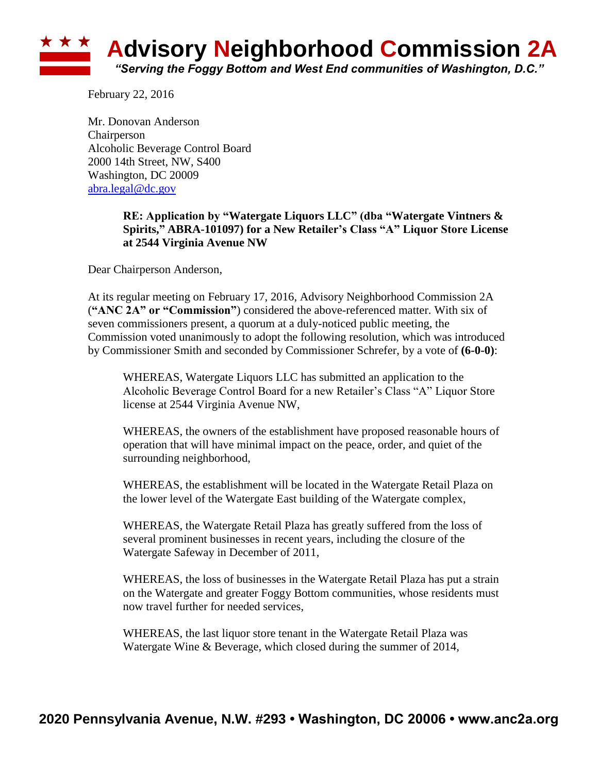

February 22, 2016

Mr. Donovan Anderson Chairperson Alcoholic Beverage Control Board 2000 14th Street, NW, S400 Washington, DC 20009 [abra.legal@dc.gov](mailto:abra.legal@dc.gov)

## **RE: Application by "Watergate Liquors LLC" (dba "Watergate Vintners & Spirits," ABRA-101097) for a New Retailer's Class "A" Liquor Store License at 2544 Virginia Avenue NW**

Dear Chairperson Anderson,

At its regular meeting on February 17, 2016, Advisory Neighborhood Commission 2A (**"ANC 2A" or "Commission"**) considered the above-referenced matter. With six of seven commissioners present, a quorum at a duly-noticed public meeting, the Commission voted unanimously to adopt the following resolution, which was introduced by Commissioner Smith and seconded by Commissioner Schrefer, by a vote of **(6-0-0)**:

WHEREAS, Watergate Liquors LLC has submitted an application to the Alcoholic Beverage Control Board for a new Retailer's Class "A" Liquor Store license at 2544 Virginia Avenue NW,

WHEREAS, the owners of the establishment have proposed reasonable hours of operation that will have minimal impact on the peace, order, and quiet of the surrounding neighborhood,

WHEREAS, the establishment will be located in the Watergate Retail Plaza on the lower level of the Watergate East building of the Watergate complex,

WHEREAS, the Watergate Retail Plaza has greatly suffered from the loss of several prominent businesses in recent years, including the closure of the Watergate Safeway in December of 2011,

WHEREAS, the loss of businesses in the Watergate Retail Plaza has put a strain on the Watergate and greater Foggy Bottom communities, whose residents must now travel further for needed services,

WHEREAS, the last liquor store tenant in the Watergate Retail Plaza was Watergate Wine & Beverage, which closed during the summer of 2014,